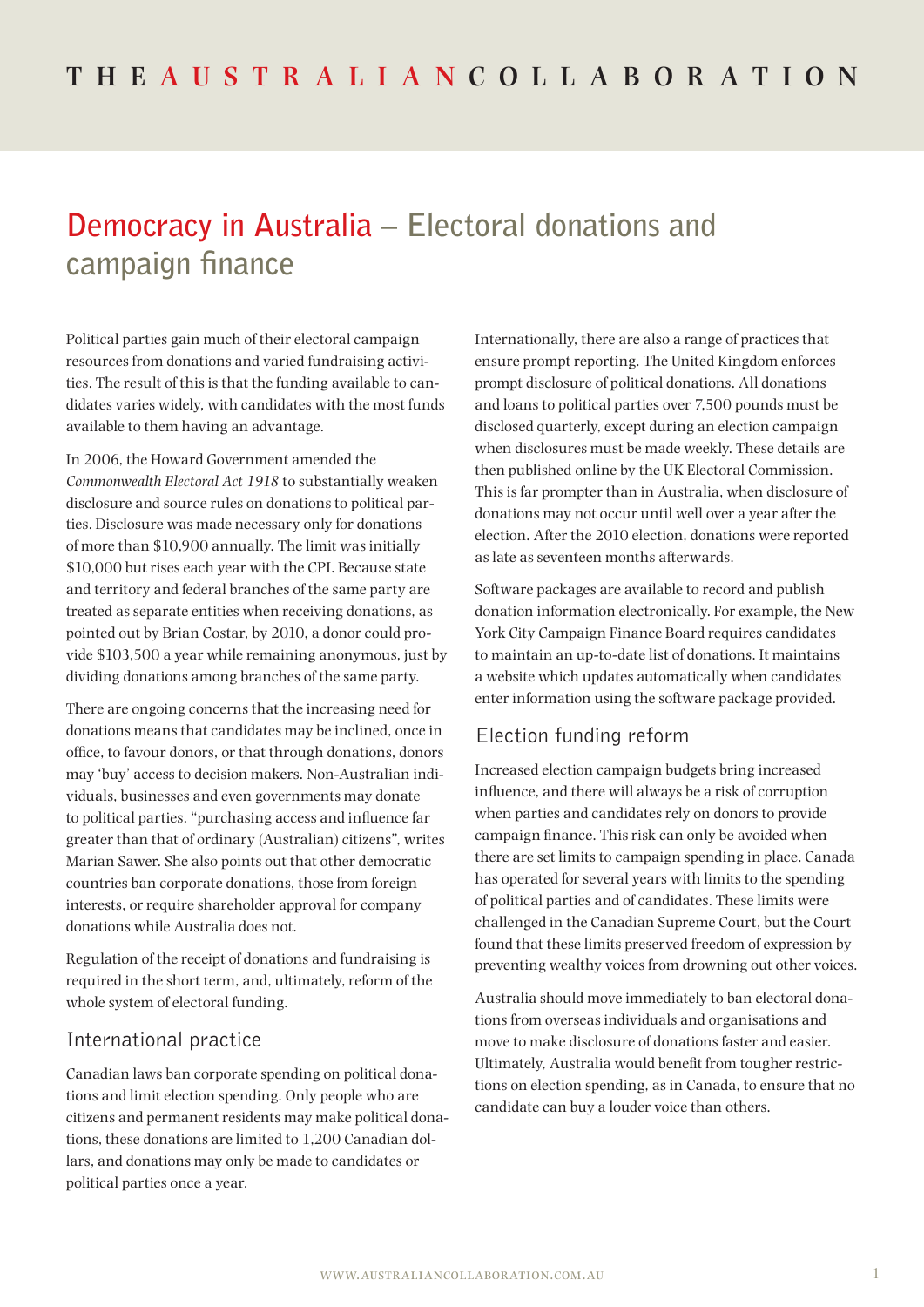# **Democracy in Australia – Electoral donations and campaign finance**

Political parties gain much of their electoral campaign resources from donations and varied fundraising activities. The result of this is that the funding available to candidates varies widely, with candidates with the most funds available to them having an advantage.

In 2006, the Howard Government amended the *Commonwealth Electoral Act 1918* to substantially weaken disclosure and source rules on donations to political parties. Disclosure was made necessary only for donations of more than \$10,900 annually. The limit was initially \$10,000 but rises each year with the CPI. Because state and territory and federal branches of the same party are treated as separate entities when receiving donations, as pointed out by Brian Costar, by 2010, a donor could provide \$103,500 a year while remaining anonymous, just by dividing donations among branches of the same party.

There are ongoing concerns that the increasing need for donations means that candidates may be inclined, once in office, to favour donors, or that through donations, donors may 'buy' access to decision makers. Non-Australian individuals, businesses and even governments may donate to political parties, "purchasing access and influence far greater than that of ordinary (Australian) citizens", writes Marian Sawer. She also points out that other democratic countries ban corporate donations, those from foreign interests, or require shareholder approval for company donations while Australia does not.

Regulation of the receipt of donations and fundraising is required in the short term, and, ultimately, reform of the whole system of electoral funding.

#### International practice

Canadian laws ban corporate spending on political donations and limit election spending. Only people who are citizens and permanent residents may make political donations, these donations are limited to 1,200 Canadian dollars, and donations may only be made to candidates or political parties once a year.

Internationally, there are also a range of practices that ensure prompt reporting. The United Kingdom enforces prompt disclosure of political donations. All donations and loans to political parties over 7,500 pounds must be disclosed quarterly, except during an election campaign when disclosures must be made weekly. These details are then published online by the UK Electoral Commission. This is far prompter than in Australia, when disclosure of donations may not occur until well over a year after the election. After the 2010 election, donations were reported as late as seventeen months afterwards.

Software packages are available to record and publish donation information electronically. For example, the New York City Campaign Finance Board requires candidates to maintain an up-to-date list of donations. It maintains a website which updates automatically when candidates enter information using the software package provided.

### Election funding reform

Increased election campaign budgets bring increased influence, and there will always be a risk of corruption when parties and candidates rely on donors to provide campaign finance. This risk can only be avoided when there are set limits to campaign spending in place. Canada has operated for several years with limits to the spending of political parties and of candidates. These limits were challenged in the Canadian Supreme Court, but the Court found that these limits preserved freedom of expression by preventing wealthy voices from drowning out other voices.

Australia should move immediately to ban electoral donations from overseas individuals and organisations and move to make disclosure of donations faster and easier. Ultimately, Australia would benefit from tougher restrictions on election spending, as in Canada, to ensure that no candidate can buy a louder voice than others.